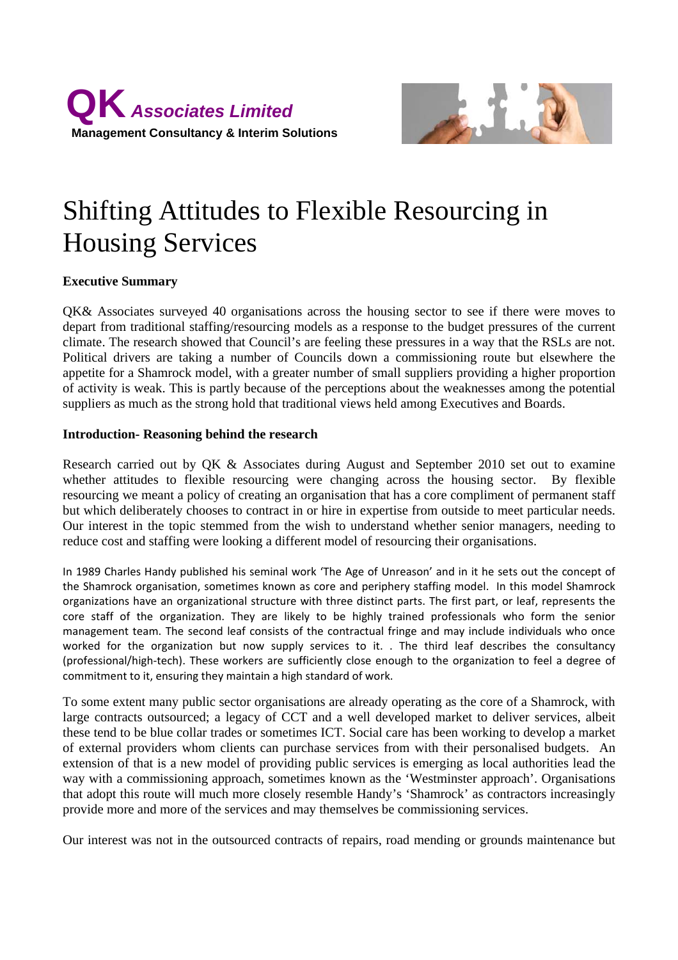



# Shifting Attitudes to Flexible Resourcing in Housing Services

# **Executive Summary**

QK& Associates surveyed 40 organisations across the housing sector to see if there were moves to depart from traditional staffing/resourcing models as a response to the budget pressures of the current climate. The research showed that Council's are feeling these pressures in a way that the RSLs are not. Political drivers are taking a number of Councils down a commissioning route but elsewhere the appetite for a Shamrock model, with a greater number of small suppliers providing a higher proportion of activity is weak. This is partly because of the perceptions about the weaknesses among the potential suppliers as much as the strong hold that traditional views held among Executives and Boards.

#### **Introduction- Reasoning behind the research**

Research carried out by QK & Associates during August and September 2010 set out to examine whether attitudes to flexible resourcing were changing across the housing sector. By flexible resourcing we meant a policy of creating an organisation that has a core compliment of permanent staff but which deliberately chooses to contract in or hire in expertise from outside to meet particular needs. Our interest in the topic stemmed from the wish to understand whether senior managers, needing to reduce cost and staffing were looking a different model of resourcing their organisations.

In 1989 Charles Handy published his seminal work 'The Age of Unreason' and in it he sets out the concept of the Shamrock organisation, sometimes known as core and periphery staffing model. In this model Shamrock organizations have an organizational structure with three distinct parts. The first part, or leaf, represents the core staff of the organization. They are likely to be highly trained professionals who form the senior management team. The second leaf consists of the contractual fringe and may include individuals who once worked for the organization but now supply services to it. . The third leaf describes the consultancy (professional/high‐tech). These workers are sufficiently close enough to the organization to feel a degree of commitment to it, ensuring they maintain a high standard of work.

To some extent many public sector organisations are already operating as the core of a Shamrock, with large contracts outsourced; a legacy of CCT and a well developed market to deliver services, albeit these tend to be blue collar trades or sometimes ICT. Social care has been working to develop a market of external providers whom clients can purchase services from with their personalised budgets. An extension of that is a new model of providing public services is emerging as local authorities lead the way with a commissioning approach, sometimes known as the 'Westminster approach'. Organisations that adopt this route will much more closely resemble Handy's 'Shamrock' as contractors increasingly provide more and more of the services and may themselves be commissioning services.

Our interest was not in the outsourced contracts of repairs, road mending or grounds maintenance but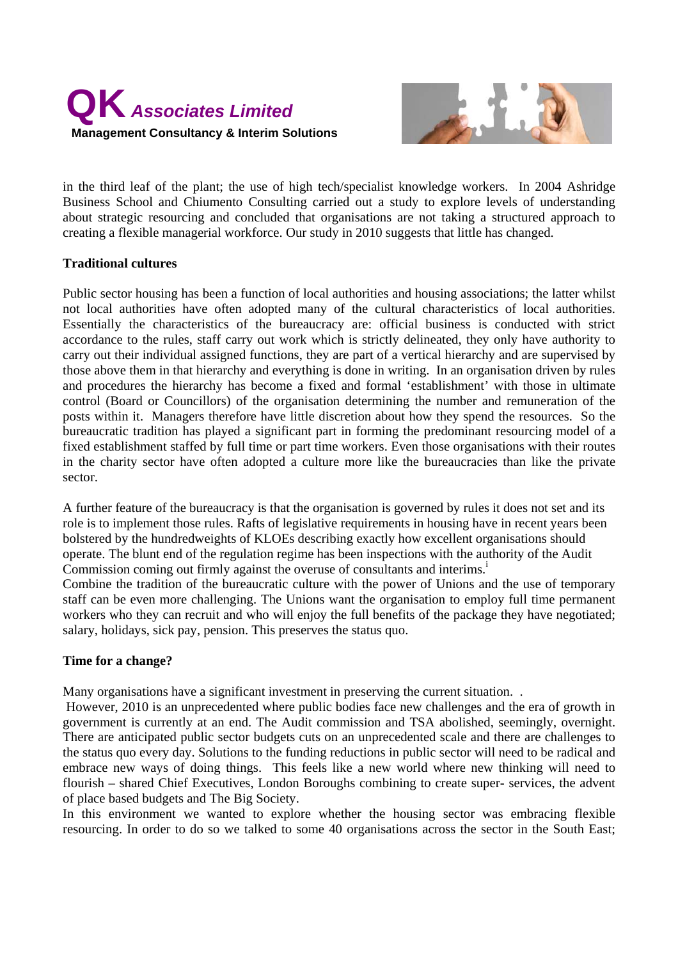



in the third leaf of the plant; the use of high tech/specialist knowledge workers. In 2004 Ashridge Business School and Chiumento Consulting carried out a study to explore levels of understanding about strategic resourcing and concluded that organisations are not taking a structured approach to creating a flexible managerial workforce. Our study in 2010 suggests that little has changed.

# **Traditional cultures**

Public sector housing has been a function of local authorities and housing associations; the latter whilst not local authorities have often adopted many of the cultural characteristics of local authorities. Essentially the characteristics of the bureaucracy are: official business is conducted with strict accordance to the rules, staff carry out work which is strictly delineated, they only have authority to carry out their individual assigned functions, they are part of a vertical hierarchy and are supervised by those above them in that hierarchy and everything is done in writing. In an organisation driven by rules and procedures the hierarchy has become a fixed and formal 'establishment' with those in ultimate control (Board or Councillors) of the organisation determining the number and remuneration of the posts within it. Managers therefore have little discretion about how they spend the resources. So the bureaucratic tradition has played a significant part in forming the predominant resourcing model of a fixed establishment staffed by full time or part time workers. Even those organisations with their routes in the charity sector have often adopted a culture more like the bureaucracies than like the private sector.

A further feature of the bureaucracy is that the organisation is governed by rules it does not set and its role is to implement those rules. Rafts of legislative requirements in housing have in recent years been bolstered by the hundredweights of KLOEs describing exactly how excellent organisations should operate. The blunt end of the regulation regime has been inspections with the authority of the Audit Commission coming out firmly against the overuse of consultants and interims.<sup>1</sup>

Combine the tradition of the bureaucratic culture with the power of Unions and the use of temporary staff can be even more challenging. The Unions want the organisation to employ full time permanent workers who they can recruit and who will enjoy the full benefits of the package they have negotiated; salary, holidays, sick pay, pension. This preserves the status quo.

# **Time for a change?**

Many organisations have a significant investment in preserving the current situation. .

 However, 2010 is an unprecedented where public bodies face new challenges and the era of growth in government is currently at an end. The Audit commission and TSA abolished, seemingly, overnight. There are anticipated public sector budgets cuts on an unprecedented scale and there are challenges to the status quo every day. Solutions to the funding reductions in public sector will need to be radical and embrace new ways of doing things. This feels like a new world where new thinking will need to flourish – shared Chief Executives, London Boroughs combining to create super- services, the advent of place based budgets and The Big Society.

In this environment we wanted to explore whether the housing sector was embracing flexible resourcing. In order to do so we talked to some 40 organisations across the sector in the South East;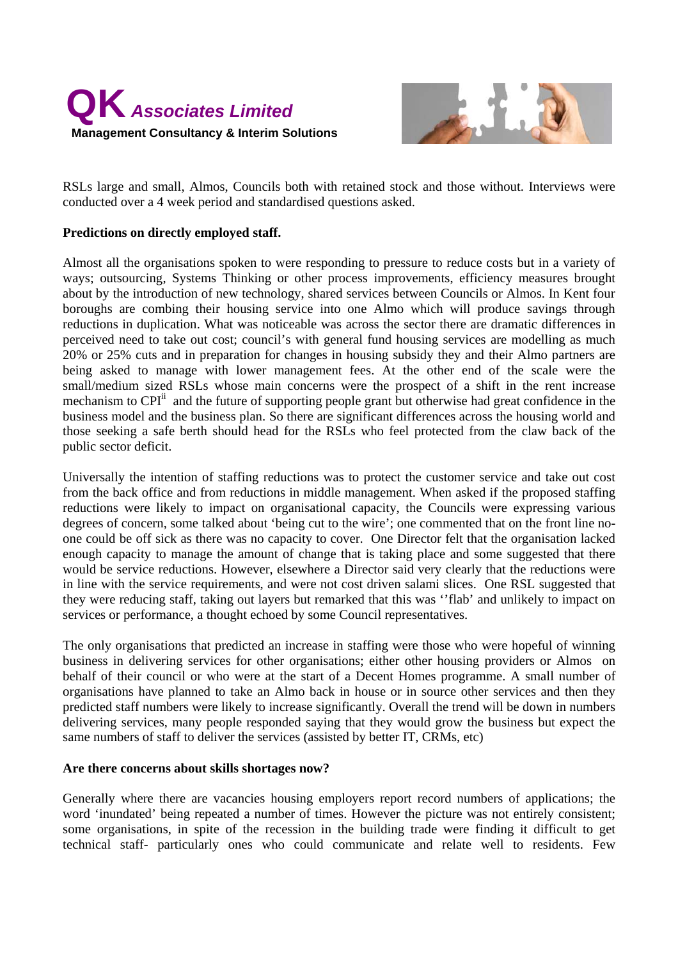



RSLs large and small, Almos, Councils both with retained stock and those without. Interviews were conducted over a 4 week period and standardised questions asked.

#### **Predictions on directly employed staff.**

Almost all the organisations spoken to were responding to pressure to reduce costs but in a variety of ways; outsourcing, Systems Thinking or other process improvements, efficiency measures brought about by the introduction of new technology, shared services between Councils or Almos. In Kent four boroughs are combing their housing service into one Almo which will produce savings through reductions in duplication. What was noticeable was across the sector there are dramatic differences in perceived need to take out cost; council's with general fund housing services are modelling as much 20% or 25% cuts and in preparation for changes in housing subsidy they and their Almo partners are being asked to manage with lower management fees. At the other end of the scale were the small/medium sized RSLs whose main concerns were the prospect of a shift in the rent increase mechanism to  $\text{CPI}^{\text{II}}$  and the future of supporting people grant but otherwise had great confidence in the business model and the business plan. So there are significant differences across the housing world and those seeking a safe berth should head for the RSLs who feel protected from the claw back of the public sector deficit.

Universally the intention of staffing reductions was to protect the customer service and take out cost from the back office and from reductions in middle management. When asked if the proposed staffing reductions were likely to impact on organisational capacity, the Councils were expressing various degrees of concern, some talked about 'being cut to the wire'; one commented that on the front line noone could be off sick as there was no capacity to cover. One Director felt that the organisation lacked enough capacity to manage the amount of change that is taking place and some suggested that there would be service reductions. However, elsewhere a Director said very clearly that the reductions were in line with the service requirements, and were not cost driven salami slices. One RSL suggested that they were reducing staff, taking out layers but remarked that this was ''flab' and unlikely to impact on services or performance, a thought echoed by some Council representatives.

The only organisations that predicted an increase in staffing were those who were hopeful of winning business in delivering services for other organisations; either other housing providers or Almos on behalf of their council or who were at the start of a Decent Homes programme. A small number of organisations have planned to take an Almo back in house or in source other services and then they predicted staff numbers were likely to increase significantly. Overall the trend will be down in numbers delivering services, many people responded saying that they would grow the business but expect the same numbers of staff to deliver the services (assisted by better IT, CRMs, etc)

#### **Are there concerns about skills shortages now?**

Generally where there are vacancies housing employers report record numbers of applications; the word 'inundated' being repeated a number of times. However the picture was not entirely consistent; some organisations, in spite of the recession in the building trade were finding it difficult to get technical staff- particularly ones who could communicate and relate well to residents. Few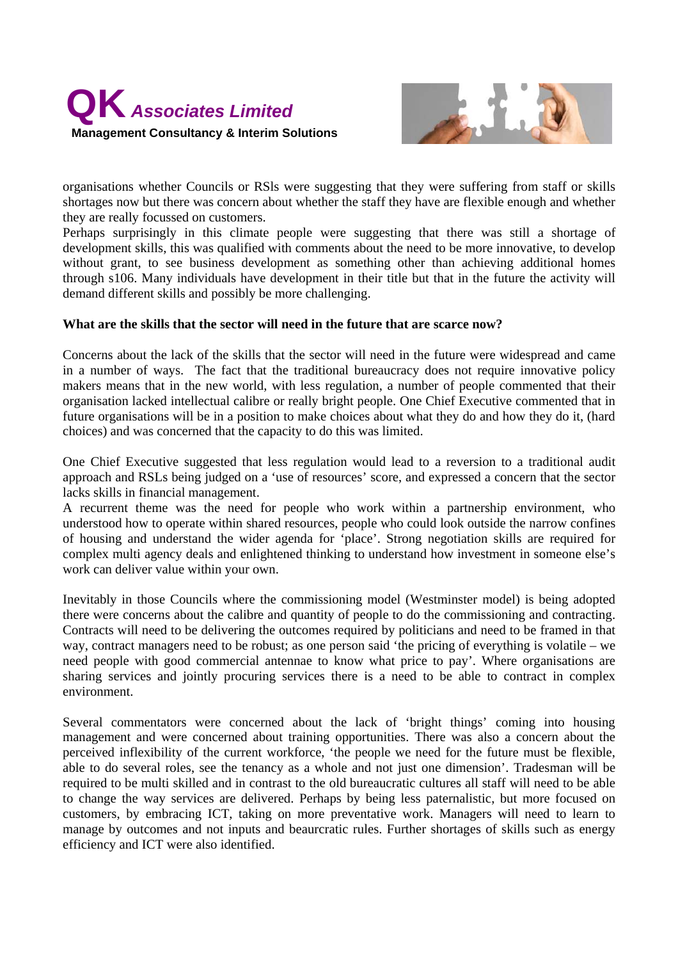



organisations whether Councils or RSls were suggesting that they were suffering from staff or skills shortages now but there was concern about whether the staff they have are flexible enough and whether they are really focussed on customers.

Perhaps surprisingly in this climate people were suggesting that there was still a shortage of development skills, this was qualified with comments about the need to be more innovative, to develop without grant, to see business development as something other than achieving additional homes through s106. Many individuals have development in their title but that in the future the activity will demand different skills and possibly be more challenging.

# **What are the skills that the sector will need in the future that are scarce now?**

Concerns about the lack of the skills that the sector will need in the future were widespread and came in a number of ways. The fact that the traditional bureaucracy does not require innovative policy makers means that in the new world, with less regulation, a number of people commented that their organisation lacked intellectual calibre or really bright people. One Chief Executive commented that in future organisations will be in a position to make choices about what they do and how they do it, (hard choices) and was concerned that the capacity to do this was limited.

One Chief Executive suggested that less regulation would lead to a reversion to a traditional audit approach and RSLs being judged on a 'use of resources' score, and expressed a concern that the sector lacks skills in financial management.

A recurrent theme was the need for people who work within a partnership environment, who understood how to operate within shared resources, people who could look outside the narrow confines of housing and understand the wider agenda for 'place'. Strong negotiation skills are required for complex multi agency deals and enlightened thinking to understand how investment in someone else's work can deliver value within your own.

Inevitably in those Councils where the commissioning model (Westminster model) is being adopted there were concerns about the calibre and quantity of people to do the commissioning and contracting. Contracts will need to be delivering the outcomes required by politicians and need to be framed in that way, contract managers need to be robust; as one person said 'the pricing of everything is volatile – we need people with good commercial antennae to know what price to pay'. Where organisations are sharing services and jointly procuring services there is a need to be able to contract in complex environment.

Several commentators were concerned about the lack of 'bright things' coming into housing management and were concerned about training opportunities. There was also a concern about the perceived inflexibility of the current workforce, 'the people we need for the future must be flexible, able to do several roles, see the tenancy as a whole and not just one dimension'. Tradesman will be required to be multi skilled and in contrast to the old bureaucratic cultures all staff will need to be able to change the way services are delivered. Perhaps by being less paternalistic, but more focused on customers, by embracing ICT, taking on more preventative work. Managers will need to learn to manage by outcomes and not inputs and beaurcratic rules. Further shortages of skills such as energy efficiency and ICT were also identified.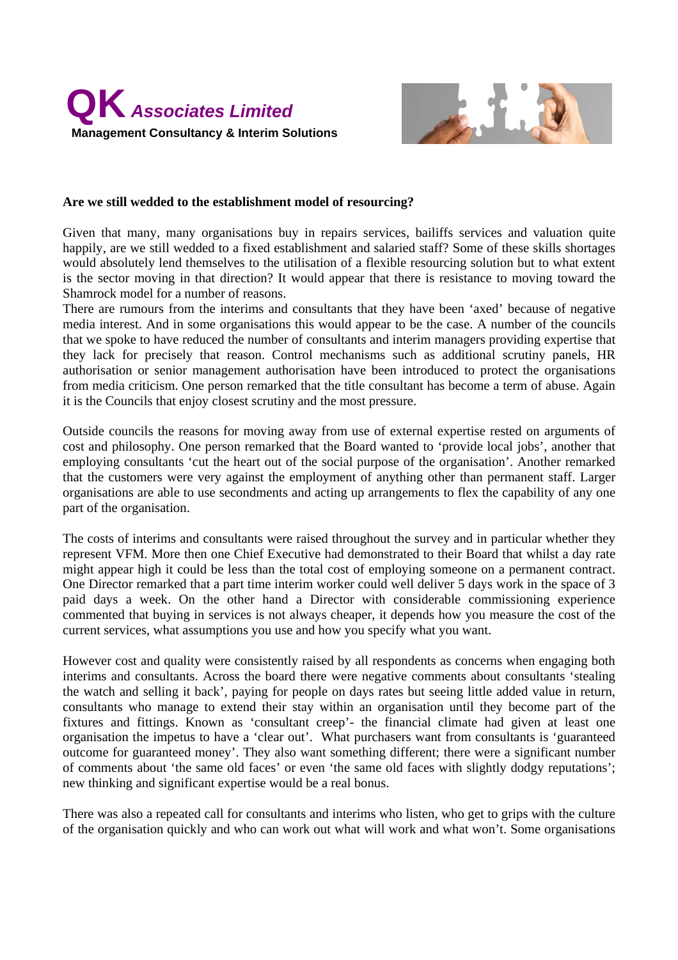



#### **Are we still wedded to the establishment model of resourcing?**

Given that many, many organisations buy in repairs services, bailiffs services and valuation quite happily, are we still wedded to a fixed establishment and salaried staff? Some of these skills shortages would absolutely lend themselves to the utilisation of a flexible resourcing solution but to what extent is the sector moving in that direction? It would appear that there is resistance to moving toward the Shamrock model for a number of reasons.

There are rumours from the interims and consultants that they have been 'axed' because of negative media interest. And in some organisations this would appear to be the case. A number of the councils that we spoke to have reduced the number of consultants and interim managers providing expertise that they lack for precisely that reason. Control mechanisms such as additional scrutiny panels, HR authorisation or senior management authorisation have been introduced to protect the organisations from media criticism. One person remarked that the title consultant has become a term of abuse. Again it is the Councils that enjoy closest scrutiny and the most pressure.

Outside councils the reasons for moving away from use of external expertise rested on arguments of cost and philosophy. One person remarked that the Board wanted to 'provide local jobs', another that employing consultants 'cut the heart out of the social purpose of the organisation'. Another remarked that the customers were very against the employment of anything other than permanent staff. Larger organisations are able to use secondments and acting up arrangements to flex the capability of any one part of the organisation.

The costs of interims and consultants were raised throughout the survey and in particular whether they represent VFM. More then one Chief Executive had demonstrated to their Board that whilst a day rate might appear high it could be less than the total cost of employing someone on a permanent contract. One Director remarked that a part time interim worker could well deliver 5 days work in the space of 3 paid days a week. On the other hand a Director with considerable commissioning experience commented that buying in services is not always cheaper, it depends how you measure the cost of the current services, what assumptions you use and how you specify what you want.

However cost and quality were consistently raised by all respondents as concerns when engaging both interims and consultants. Across the board there were negative comments about consultants 'stealing the watch and selling it back', paying for people on days rates but seeing little added value in return, consultants who manage to extend their stay within an organisation until they become part of the fixtures and fittings. Known as 'consultant creep'- the financial climate had given at least one organisation the impetus to have a 'clear out'. What purchasers want from consultants is 'guaranteed outcome for guaranteed money'. They also want something different; there were a significant number of comments about 'the same old faces' or even 'the same old faces with slightly dodgy reputations'; new thinking and significant expertise would be a real bonus.

There was also a repeated call for consultants and interims who listen, who get to grips with the culture of the organisation quickly and who can work out what will work and what won't. Some organisations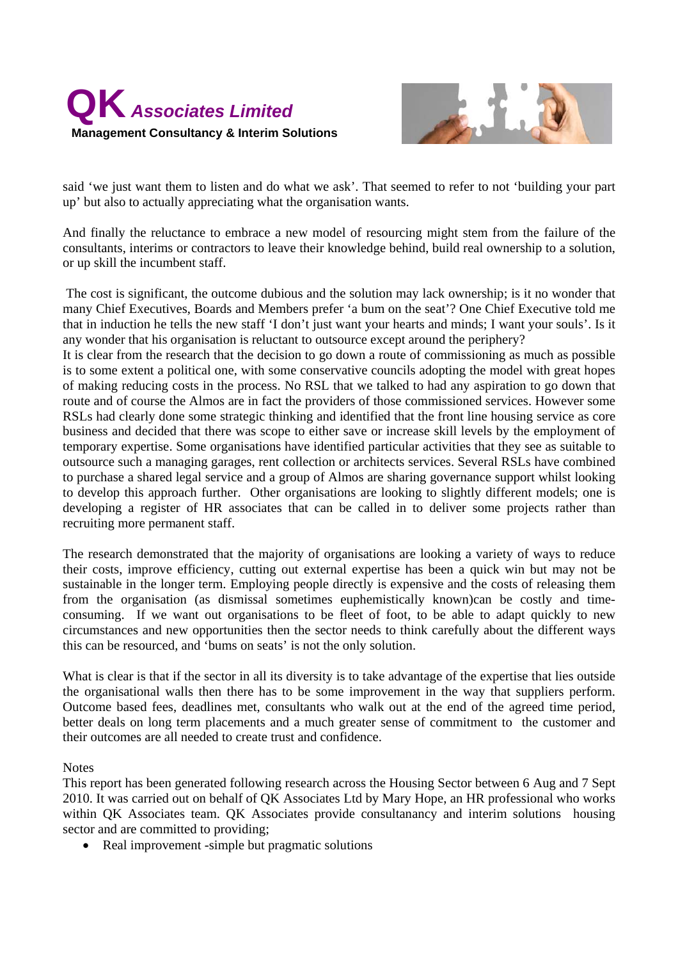



said 'we just want them to listen and do what we ask'. That seemed to refer to not 'building your part up' but also to actually appreciating what the organisation wants.

And finally the reluctance to embrace a new model of resourcing might stem from the failure of the consultants, interims or contractors to leave their knowledge behind, build real ownership to a solution, or up skill the incumbent staff.

 The cost is significant, the outcome dubious and the solution may lack ownership; is it no wonder that many Chief Executives, Boards and Members prefer 'a bum on the seat'? One Chief Executive told me that in induction he tells the new staff 'I don't just want your hearts and minds; I want your souls'. Is it any wonder that his organisation is reluctant to outsource except around the periphery?

It is clear from the research that the decision to go down a route of commissioning as much as possible is to some extent a political one, with some conservative councils adopting the model with great hopes of making reducing costs in the process. No RSL that we talked to had any aspiration to go down that route and of course the Almos are in fact the providers of those commissioned services. However some RSLs had clearly done some strategic thinking and identified that the front line housing service as core business and decided that there was scope to either save or increase skill levels by the employment of temporary expertise. Some organisations have identified particular activities that they see as suitable to outsource such a managing garages, rent collection or architects services. Several RSLs have combined to purchase a shared legal service and a group of Almos are sharing governance support whilst looking to develop this approach further. Other organisations are looking to slightly different models; one is developing a register of HR associates that can be called in to deliver some projects rather than recruiting more permanent staff.

The research demonstrated that the majority of organisations are looking a variety of ways to reduce their costs, improve efficiency, cutting out external expertise has been a quick win but may not be sustainable in the longer term. Employing people directly is expensive and the costs of releasing them from the organisation (as dismissal sometimes euphemistically known)can be costly and timeconsuming. If we want out organisations to be fleet of foot, to be able to adapt quickly to new circumstances and new opportunities then the sector needs to think carefully about the different ways this can be resourced, and 'bums on seats' is not the only solution.

What is clear is that if the sector in all its diversity is to take advantage of the expertise that lies outside the organisational walls then there has to be some improvement in the way that suppliers perform. Outcome based fees, deadlines met, consultants who walk out at the end of the agreed time period, better deals on long term placements and a much greater sense of commitment to the customer and their outcomes are all needed to create trust and confidence.

**Notes** 

This report has been generated following research across the Housing Sector between 6 Aug and 7 Sept 2010. It was carried out on behalf of QK Associates Ltd by Mary Hope, an HR professional who works within QK Associates team. QK Associates provide consultanancy and interim solutions housing sector and are committed to providing;

• Real improvement -simple but pragmatic solutions